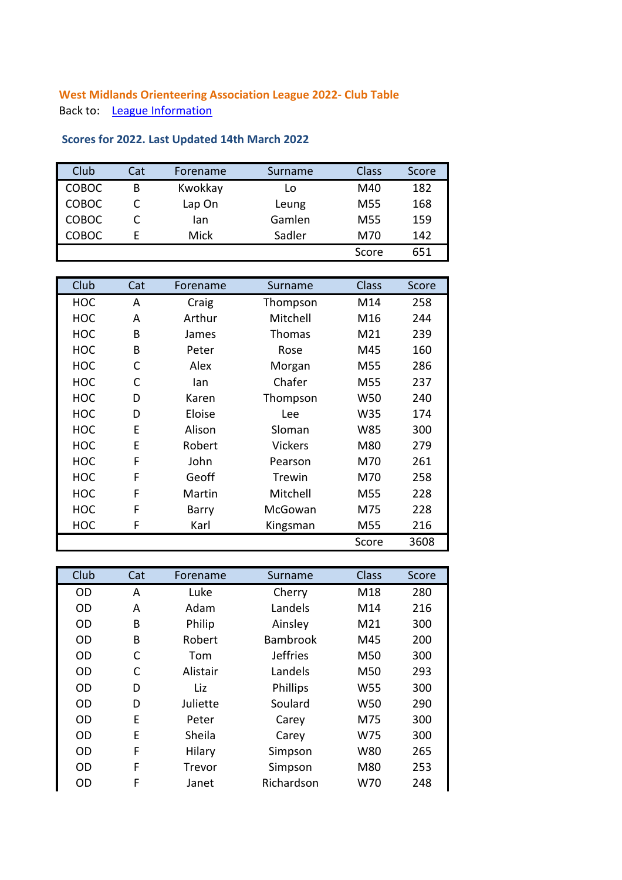## **West Midlands Orienteering Association League 2022- Club Table** Back to: **[League Information](http://www.wmoa.org.uk/wp/west-midlands-league)**

## Club Cat Forename Surname Class Score COBOC B Kwokkay Lo M40 182 COBOC C Lap On Leung M55 168 COBOC C Ian Gamlen M55 159 COBOC E Mick Sadler M70 142 Score 651

| Club       | Cat | Forename | Surname        | Class           | Score |
|------------|-----|----------|----------------|-----------------|-------|
| <b>HOC</b> | A   | Craig    | Thompson       | M14             | 258   |
| <b>HOC</b> | A   | Arthur   | Mitchell       | M16             | 244   |
| <b>HOC</b> | B   | James    | Thomas         | M21             | 239   |
| <b>HOC</b> | B   | Peter    | Rose           | M45             | 160   |
| <b>HOC</b> | C   | Alex     | Morgan         | M <sub>55</sub> | 286   |
| HOC        | C   | lan      | Chafer         | M <sub>55</sub> | 237   |
| <b>HOC</b> | D   | Karen    | Thompson       | W50             | 240   |
| HOC        | D   | Eloise   | Lee            | W35             | 174   |
| <b>HOC</b> | F   | Alison   | Sloman         | W85             | 300   |
| <b>HOC</b> | E   | Robert   | <b>Vickers</b> | M80             | 279   |
| HOC        | F   | John     | Pearson        | M70             | 261   |
| <b>HOC</b> | F   | Geoff    | Trewin         | M70             | 258   |
| <b>HOC</b> | F   | Martin   | Mitchell       | M55             | 228   |
| <b>HOC</b> | F   | Barry    | McGowan        | M75             | 228   |
| HOC        | F   | Karl     | Kingsman       | M55             | 216   |
|            |     |          |                | Score           | 3608  |

| Club      | Cat | Forename | Surname         | <b>Class</b>    | Score |
|-----------|-----|----------|-----------------|-----------------|-------|
| <b>OD</b> | A   | Luke     | Cherry          | M18             | 280   |
| <b>OD</b> | A   | Adam     | Landels         | M14             | 216   |
| <b>OD</b> | B   | Philip   | Ainsley         | M21             | 300   |
| <b>OD</b> | B   | Robert   | <b>Bambrook</b> | M45             | 200   |
| <b>OD</b> | C   | Tom      | <b>Jeffries</b> | M50             | 300   |
| <b>OD</b> | C   | Alistair | Landels         | M50             | 293   |
| OD.       | D   | Liz      | Phillips        | W <sub>55</sub> | 300   |
| <b>OD</b> | D   | Juliette | Soulard         | W <sub>50</sub> | 290   |
| OD.       | F   | Peter    | Carey           | M75             | 300   |
| <b>OD</b> | E   | Sheila   | Carey           | W75             | 300   |
| OD.       | F   | Hilary   | Simpson         | W80             | 265   |
| OD.       | F   | Trevor   | Simpson         | M80             | 253   |
| OD        | F   | Janet    | Richardson      | W70             | 248   |

## **Scores for 2022. Last Updated 14th March 2022**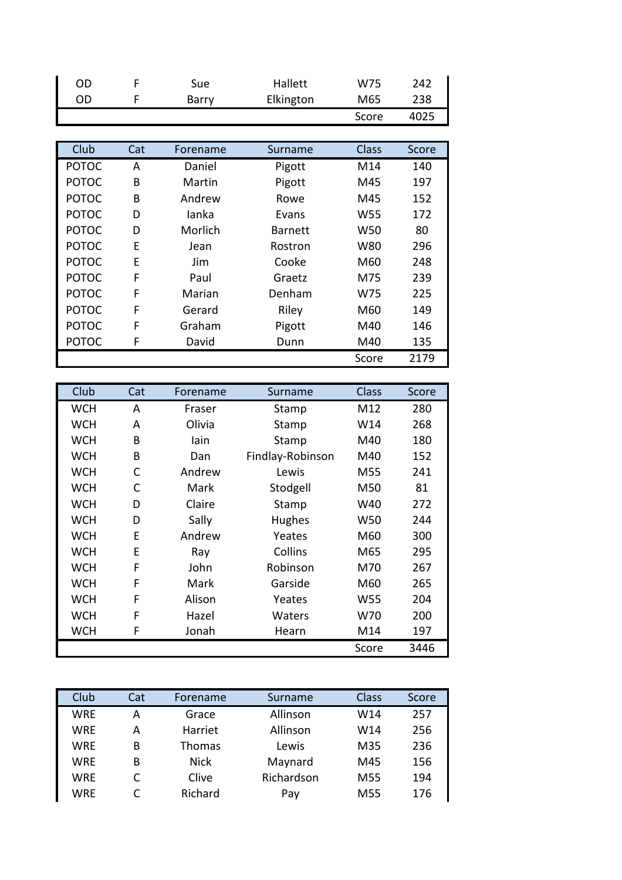| OD | Sue.  | Hallett   | W75   | 242  |
|----|-------|-----------|-------|------|
| OD | Barry | Elkington | M65   | 238  |
|    |       |           | Score | 4025 |

| Club         | Cat | Forename | Surname        | Class           | Score |
|--------------|-----|----------|----------------|-----------------|-------|
| <b>POTOC</b> | A   | Daniel   | Pigott         | M14             | 140   |
| <b>POTOC</b> | B   | Martin   | Pigott         | M45             | 197   |
| <b>POTOC</b> | B   | Andrew   | Rowe           | M45             | 152   |
| <b>POTOC</b> | D   | lanka    | Evans          | W <sub>55</sub> | 172   |
| <b>POTOC</b> | D   | Morlich  | <b>Barnett</b> | W50             | 80    |
| <b>POTOC</b> | Ε   | Jean     | Rostron        | W80             | 296   |
| <b>POTOC</b> | E   | Jim      | Cooke          | M60             | 248   |
| <b>POTOC</b> | F   | Paul     | Graetz         | M75             | 239   |
| <b>POTOC</b> | F   | Marian   | Denham         | W75             | 225   |
| <b>POTOC</b> | F   | Gerard   | Riley          | M60             | 149   |
| <b>POTOC</b> | F   | Graham   | Pigott         | M40             | 146   |
| <b>POTOC</b> | F   | David    | Dunn           | M40             | 135   |
|              |     |          |                | Score           | 2179  |

| Club       | Cat | Forename | Surname          | Class | Score |
|------------|-----|----------|------------------|-------|-------|
| <b>WCH</b> | A   | Fraser   | Stamp            | M12   | 280   |
| <b>WCH</b> | A   | Olivia   | Stamp            | W14   | 268   |
| <b>WCH</b> | B   | lain     | Stamp            | M40   | 180   |
| <b>WCH</b> | B   | Dan      | Findlay-Robinson | M40   | 152   |
| <b>WCH</b> | C   | Andrew   | Lewis            | M55   | 241   |
| <b>WCH</b> | C   | Mark     | Stodgell         | M50   | 81    |
| <b>WCH</b> | D   | Claire   | Stamp            | W40   | 272   |
| <b>WCH</b> | D   | Sally    | Hughes           | W50   | 244   |
| <b>WCH</b> | Е   | Andrew   | Yeates           | M60   | 300   |
| <b>WCH</b> | E   | Ray      | Collins          | M65   | 295   |
| <b>WCH</b> | F   | John     | Robinson         | M70   | 267   |
| <b>WCH</b> | F   | Mark     | Garside          | M60   | 265   |
| <b>WCH</b> | F   | Alison   | Yeates           | W55   | 204   |
| <b>WCH</b> | F   | Hazel    | Waters           | W70   | 200   |
| <b>WCH</b> | F   | Jonah    | Hearn            | M14   | 197   |
|            |     |          |                  | Score | 3446  |

| Club       | Cat | Forename    | Surname    | Class           | Score |
|------------|-----|-------------|------------|-----------------|-------|
| WRE        | А   | Grace       | Allinson   | W14             | 257   |
| <b>WRE</b> | А   | Harriet     | Allinson   | W14             | 256   |
| <b>WRE</b> | B   | Thomas      | Lewis      | M35             | 236   |
| <b>WRE</b> | В   | <b>Nick</b> | Maynard    | M45             | 156   |
| <b>WRE</b> |     | Clive       | Richardson | M55             | 194   |
| WRE        |     | Richard     | Pay        | M <sub>55</sub> | 176   |